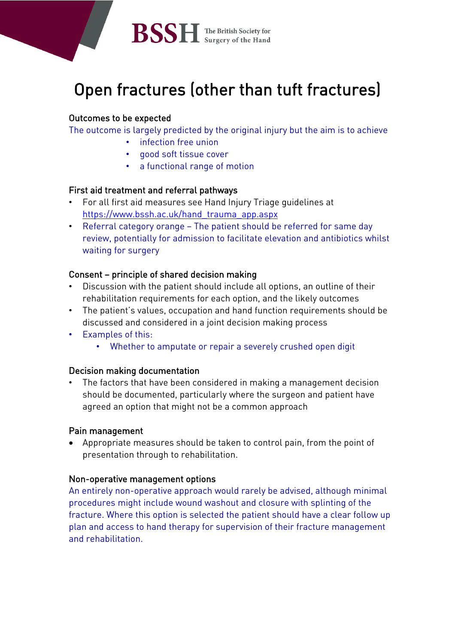

# Open fractures (other than tuft fractures)

# Outcomes to be expected

The outcome is largely predicted by the original injury but the aim is to achieve

- infection free union
- good soft tissue cover
- a functional range of motion

## First aid treatment and referral pathways

- For all first aid measures see Hand Injury Triage guidelines at [https://www.bssh.ac.uk/hand\\_trauma\\_app.aspx](https://www.bssh.ac.uk/hand_trauma_app.aspx)
- Referral category orange The patient should be referred for same day review, potentially for admission to facilitate elevation and antibiotics whilst waiting for surgery

## Consent – principle of shared decision making

- Discussion with the patient should include all options, an outline of their rehabilitation requirements for each option, and the likely outcomes
- The patient's values, occupation and hand function requirements should be discussed and considered in a joint decision making process
- Examples of this:
	- Whether to amputate or repair a severely crushed open digit

## Decision making documentation

• The factors that have been considered in making a management decision should be documented, particularly where the surgeon and patient have agreed an option that might not be a common approach

## Pain management

• Appropriate measures should be taken to control pain, from the point of presentation through to rehabilitation.

## Non-operative management options

An entirely non-operative approach would rarely be advised, although minimal procedures might include wound washout and closure with splinting of the fracture. Where this option is selected the patient should have a clear follow up plan and access to hand therapy for supervision of their fracture management and rehabilitation.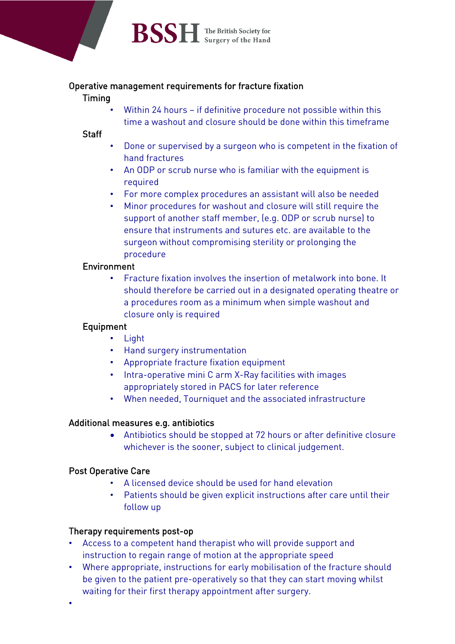

#### Operative management requirements for fracture fixation

#### Timing

Within 24 hours - if definitive procedure not possible within this time a washout and closure should be done within this timeframe

#### **Staff**

- Done or supervised by a surgeon who is competent in the fixation of hand fractures
- An ODP or scrub nurse who is familiar with the equipment is required
- For more complex procedures an assistant will also be needed
- Minor procedures for washout and closure will still require the support of another staff member, (e.g. ODP or scrub nurse) to ensure that instruments and sutures etc. are available to the surgeon without compromising sterility or prolonging the procedure

## Environment

• Fracture fixation involves the insertion of metalwork into bone. It should therefore be carried out in a designated operating theatre or a procedures room as a minimum when simple washout and closure only is required

## Equipment

- Light
- Hand surgery instrumentation
- Appropriate fracture fixation equipment
- Intra-operative mini C arm X-Ray facilities with images appropriately stored in PACS for later reference
- When needed, Tourniquet and the associated infrastructure

## Additional measures e.g. antibiotics

• Antibiotics should be stopped at 72 hours or after definitive closure whichever is the sooner, subject to clinical judgement.

## Post Operative Care

- A licensed device should be used for hand elevation
- Patients should be given explicit instructions after care until their follow up

# Therapy requirements post-op

- Access to a competent hand therapist who will provide support and instruction to regain range of motion at the appropriate speed
- Where appropriate, instructions for early mobilisation of the fracture should be given to the patient pre-operatively so that they can start moving whilst waiting for their first therapy appointment after surgery.
- •